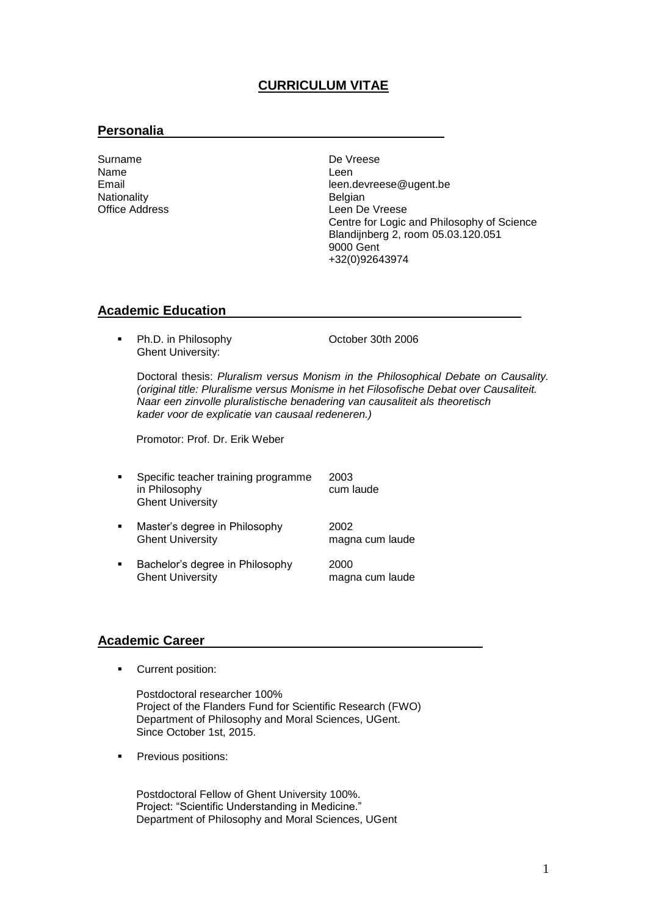# **CURRICULUM VITAE**

## **Personalia**

Surname De Vreese<br>Name De Veese De De Vreese Name Leen Nationality<br>Office Address

Email<br>
Nationality<br>
Nationality<br>
Nationality<br>
Contract the Belgian Leen De Vreese Centre for Logic and Philosophy of Science Blandijnberg 2, room 05.03.120.051 9000 Gent +32(0)92643974

### **Academic Education**

Ph.D. in Philosophy **Channel Controller 10th 2006** Ghent University:

Doctoral thesis: *Pluralism versus Monism in the Philosophical Debate on Causality. (original title: Pluralisme versus Monisme in het Filosofische Debat over Causaliteit. Naar een zinvolle pluralistische benadering van causaliteit als theoretisch kader voor de explicatie van causaal redeneren.)*

Promotor: Prof. Dr. Erik Weber

- Specific teacher training programme 2003 in Philosophy Ghent University
- **Master's degree in Philosophy** 2002 Ghent University **magna cum laude**
- **Bachelor's degree in Philosophy** 2000<br>Ghent University 1997 magn magna cum laude

### **Academic Career**

**Current position:** 

Postdoctoral researcher 100% Project of the Flanders Fund for Scientific Research (FWO) Department of Philosophy and Moral Sciences, UGent. Since October 1st, 2015.

Previous positions:

Postdoctoral Fellow of Ghent University 100%. Project: "Scientific Understanding in Medicine." Department of Philosophy and Moral Sciences, UGent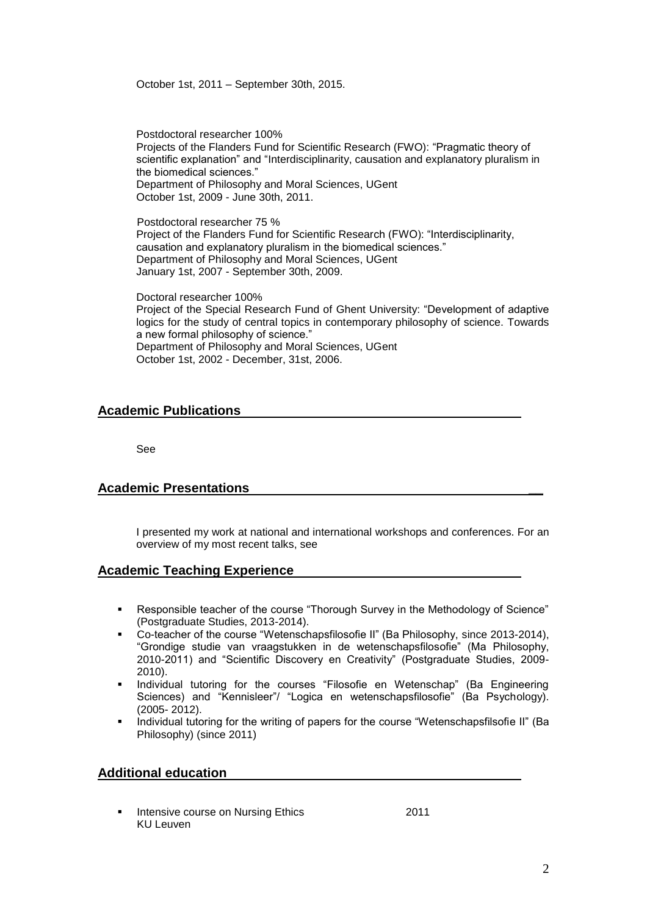October 1st, 2011 – September 30th, 2015.

Postdoctoral researcher 100% Projects of the Flanders Fund for Scientific Research (FWO): "Pragmatic theory of scientific explanation" and "Interdisciplinarity, causation and explanatory pluralism in the biomedical sciences." Department of Philosophy and Moral Sciences, UGent October 1st, 2009 - June 30th, 2011.

Postdoctoral researcher 75 % Project of the Flanders Fund for Scientific Research (FWO): "Interdisciplinarity, causation and explanatory pluralism in the biomedical sciences." Department of Philosophy and Moral Sciences, UGent January 1st, 2007 - September 30th, 2009.

Doctoral researcher 100% Project of the Special Research Fund of Ghent University: "Development of adaptive logics for the study of central topics in contemporary philosophy of science. Towards a new formal philosophy of science." Department of Philosophy and Moral Sciences, UGent October 1st, 2002 - December, 31st, 2006.

### **Academic Publications**

See

## **Academic Presentations \_\_**

I presented my work at national and international workshops and conferences. For an overview of my most recent talks, see

## **Academic Teaching Experience**

- Responsible teacher of the course "Thorough Survey in the Methodology of Science" (Postgraduate Studies, 2013-2014).
- Co-teacher of the course "Wetenschapsfilosofie II" (Ba Philosophy, since 2013-2014), "Grondige studie van vraagstukken in de wetenschapsfilosofie" (Ma Philosophy, 2010-2011) and "Scientific Discovery en Creativity" (Postgraduate Studies, 2009- 2010).
- Individual tutoring for the courses "Filosofie en Wetenschap" (Ba Engineering Sciences) and "Kennisleer"/ "Logica en wetenschapsfilosofie" (Ba Psychology). (2005- 2012).
- Individual tutoring for the writing of papers for the course "Wetenschapsfilsofie II" (Ba Philosophy) (since 2011)

#### **Additional education**

 Intensive course on Nursing Ethics 2011 KU Leuven